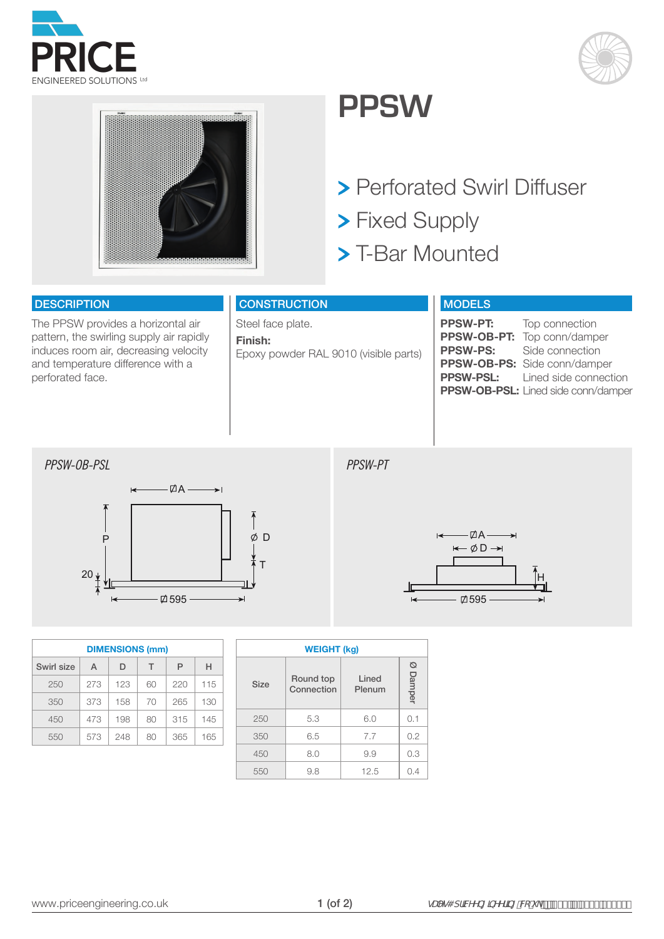





## **PPSW**

- > Perforated Swirl Diffuser
- > Fixed Supply
- > T-Bar Mounted

## **DESCRIPTION**

The PPSW provides a horizontal air pattern, the swirling supply air rapidly induces room air, decreasing velocity and temperature difference with a perforated face.

| <b>CONSTRUCTION</b>                              |
|--------------------------------------------------|
| Steel face plate.                                |
| Finish:<br>Epoxy powder RAL 9010 (visible parts) |

## MODELS

| <b>PPSW-PT:</b> | Top connection                         |
|-----------------|----------------------------------------|
|                 | PPSW-OB-PT: Top conn/damper            |
| <b>PPSW-PS:</b> | Side connection                        |
|                 | PPSW-OB-PS: Side conn/damper           |
|                 | <b>PPSW-PSL:</b> Lined side connection |
|                 | PPSW-OB-PSL: Lined side conn/damper    |
|                 |                                        |





| <b>DIMENSIONS (mm)</b> |     |     |    |     |     |  |  |  |  |  |  |
|------------------------|-----|-----|----|-----|-----|--|--|--|--|--|--|
| Swirl size             | A   | D   | т  | Р   | н   |  |  |  |  |  |  |
| 250                    | 273 | 123 | 60 | 220 | 115 |  |  |  |  |  |  |
| 350                    | 373 | 158 | 70 | 265 | 130 |  |  |  |  |  |  |
| 450                    | 473 | 198 | 80 | 315 | 145 |  |  |  |  |  |  |
| 550                    | 573 | 248 | 80 | 365 | 165 |  |  |  |  |  |  |

| <b>WEIGHT (kg)</b> |                         |                 |             |  |  |  |  |  |  |
|--------------------|-------------------------|-----------------|-------------|--|--|--|--|--|--|
| Size               | Round top<br>Connection | Lined<br>Plenum | Ø<br>Damper |  |  |  |  |  |  |
| 250                | 5.3                     | 6.0             | 0.1         |  |  |  |  |  |  |
| 350                | 6.5                     | 7.7             | 0.2         |  |  |  |  |  |  |
| 450                | 8.0                     | 9.9             | 0.3         |  |  |  |  |  |  |
| 550                | 9.8                     | 12.5            | 0.4         |  |  |  |  |  |  |